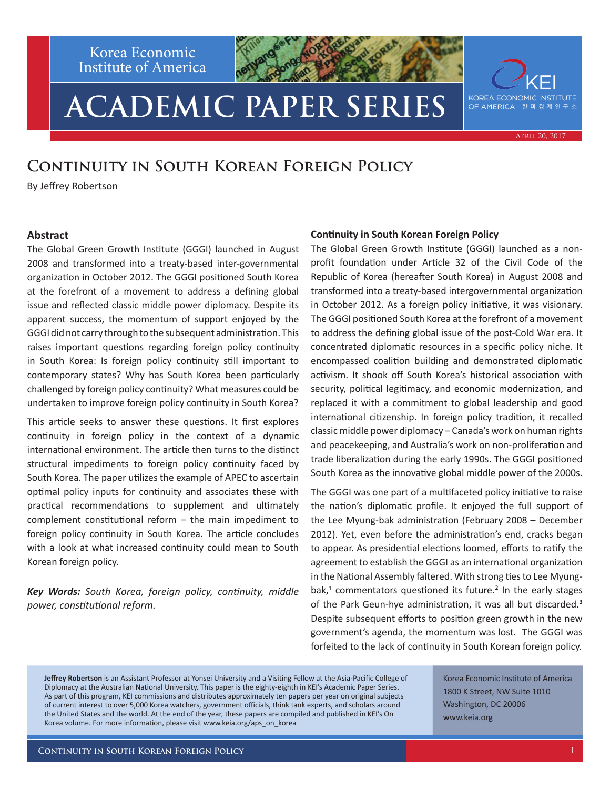Korea Economic Institute of America

# **ACADEMIC PAPER SERIES**

### **Continuity in South Korean Foreign Policy**

By Jeffrey Robertson

#### **Abstract**

The Global Green Growth Institute (GGGI) launched in August 2008 and transformed into a treaty-based inter-governmental organization in October 2012. The GGGI positioned South Korea at the forefront of a movement to address a defining global issue and reflected classic middle power diplomacy. Despite its apparent success, the momentum of support enjoyed by the GGGI did not carry through to the subsequent administration. This raises important questions regarding foreign policy continuity in South Korea: Is foreign policy continuity still important to contemporary states? Why has South Korea been particularly challenged by foreign policy continuity? What measures could be undertaken to improve foreign policy continuity in South Korea?

This article seeks to answer these questions. It first explores continuity in foreign policy in the context of a dynamic international environment. The article then turns to the distinct structural impediments to foreign policy continuity faced by South Korea. The paper utilizes the example of APEC to ascertain optimal policy inputs for continuity and associates these with practical recommendations to supplement and ultimately complement constitutional reform – the main impediment to foreign policy continuity in South Korea. The article concludes with a look at what increased continuity could mean to South Korean foreign policy.

*Key Words: South Korea, foreign policy, continuity, middle power, constitutional reform.*

#### **Continuity in South Korean Foreign Policy**

The Global Green Growth Institute (GGGI) launched as a nonprofit foundation under Article 32 of the Civil Code of the Republic of Korea (hereafter South Korea) in August 2008 and transformed into a treaty-based intergovernmental organization in October 2012. As a foreign policy initiative, it was visionary. The GGGI positioned South Korea at the forefront of a movement to address the defining global issue of the post-Cold War era. It concentrated diplomatic resources in a specific policy niche. It encompassed coalition building and demonstrated diplomatic activism. It shook off South Korea's historical association with security, political legitimacy, and economic modernization, and replaced it with a commitment to global leadership and good international citizenship. In foreign policy tradition, it recalled classic middle power diplomacy – Canada's work on human rights and peacekeeping, and Australia's work on non-proliferation and trade liberalization during the early 1990s. The GGGI positioned South Korea as the innovative global middle power of the 2000s.

The GGGI was one part of a multifaceted policy initiative to raise the nation's diplomatic profile. It enjoyed the full support of the Lee Myung-bak administration (February 2008 – December 2012). Yet, even before the administration's end, cracks began to appear. As presidential elections loomed, efforts to ratify the agreement to establish the GGGI as an international organization in the National Assembly faltered. With strong ties to Lee Myungbak,<sup>1</sup> commentators questioned its future.<sup>2</sup> In the early stages of the Park Geun-hye administration, it was all but discarded.<sup>3</sup> Despite subsequent efforts to position green growth in the new government's agenda, the momentum was lost. The GGGI was forfeited to the lack of continuity in South Korean foreign policy.

**Jeffrey Robertson** is an Assistant Professor at Yonsei University and a Visiting Fellow at the Asia-Pacific College of Diplomacy at the Australian National University. This paper is the eighty-eighth in KEI's Academic Paper Series. As part of this program, KEI commissions and distributes approximately ten papers per year on original subjects of current interest to over 5,000 Korea watchers, government officials, think tank experts, and scholars around the United States and the world. At the end of the year, these papers are compiled and published in KEI's On Korea volume. For more information, please visit www.keia.org/aps\_on\_korea

Korea Economic Institute of America 1800 K Street, NW Suite 1010 Washington, DC 20006 www.keia.org



April 20, 2017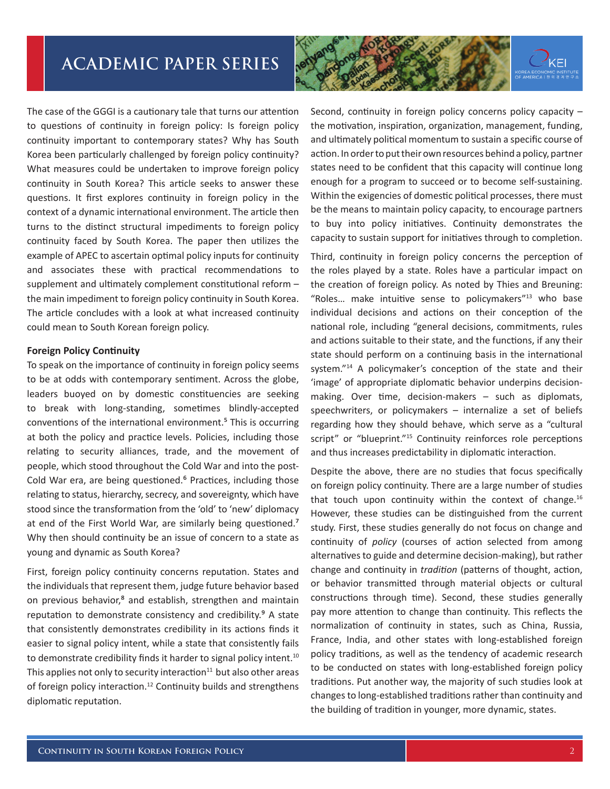

The case of the GGGI is a cautionary tale that turns our attention to questions of continuity in foreign policy: Is foreign policy continuity important to contemporary states? Why has South Korea been particularly challenged by foreign policy continuity? What measures could be undertaken to improve foreign policy continuity in South Korea? This article seeks to answer these questions. It first explores continuity in foreign policy in the context of a dynamic international environment. The article then turns to the distinct structural impediments to foreign policy continuity faced by South Korea. The paper then utilizes the example of APEC to ascertain optimal policy inputs for continuity and associates these with practical recommendations to supplement and ultimately complement constitutional reform – the main impediment to foreign policy continuity in South Korea. The article concludes with a look at what increased continuity could mean to South Korean foreign policy.

#### **Foreign Policy Continuity**

To speak on the importance of continuity in foreign policy seems to be at odds with contemporary sentiment. Across the globe, leaders buoyed on by domestic constituencies are seeking to break with long-standing, sometimes blindly-accepted conventions of the international environment.<sup>5</sup> This is occurring at both the policy and practice levels. Policies, including those relating to security alliances, trade, and the movement of people, which stood throughout the Cold War and into the post-Cold War era, are being questioned.<sup>6</sup> Practices, including those relating to status, hierarchy, secrecy, and sovereignty, which have stood since the transformation from the 'old' to 'new' diplomacy at end of the First World War, are similarly being questioned.<sup>7</sup> Why then should continuity be an issue of concern to a state as young and dynamic as South Korea?

First, foreign policy continuity concerns reputation. States and the individuals that represent them, judge future behavior based on previous behavior,<sup>8</sup> and establish, strengthen and maintain reputation to demonstrate consistency and credibility.<sup>9</sup> A state that consistently demonstrates credibility in its actions finds it easier to signal policy intent, while a state that consistently fails to demonstrate credibility finds it harder to signal policy intent.<sup>10</sup> This applies not only to security interaction $11$  but also other areas of foreign policy interaction.12 Continuity builds and strengthens diplomatic reputation.

Second, continuity in foreign policy concerns policy capacity – the motivation, inspiration, organization, management, funding, and ultimately political momentum to sustain a specific course of action. In order to put their own resources behind a policy, partner states need to be confident that this capacity will continue long enough for a program to succeed or to become self-sustaining. Within the exigencies of domestic political processes, there must be the means to maintain policy capacity, to encourage partners to buy into policy initiatives. Continuity demonstrates the capacity to sustain support for initiatives through to completion.

Third, continuity in foreign policy concerns the perception of the roles played by a state. Roles have a particular impact on the creation of foreign policy. As noted by Thies and Breuning: "Roles… make intuitive sense to policymakers"13 who base individual decisions and actions on their conception of the national role, including "general decisions, commitments, rules and actions suitable to their state, and the functions, if any their state should perform on a continuing basis in the international system."<sup>14</sup> A policymaker's conception of the state and their 'image' of appropriate diplomatic behavior underpins decisionmaking. Over time, decision-makers – such as diplomats, speechwriters, or policymakers – internalize a set of beliefs regarding how they should behave, which serve as a "cultural script" or "blueprint."<sup>15</sup> Continuity reinforces role perceptions and thus increases predictability in diplomatic interaction.

Despite the above, there are no studies that focus specifically on foreign policy continuity. There are a large number of studies that touch upon continuity within the context of change. $16$ However, these studies can be distinguished from the current study. First, these studies generally do not focus on change and continuity of *policy* (courses of action selected from among alternatives to guide and determine decision-making), but rather change and continuity in *tradition* (patterns of thought, action, or behavior transmitted through material objects or cultural constructions through time). Second, these studies generally pay more attention to change than continuity. This reflects the normalization of continuity in states, such as China, Russia, France, India, and other states with long-established foreign policy traditions, as well as the tendency of academic research to be conducted on states with long-established foreign policy traditions. Put another way, the majority of such studies look at changes to long-established traditions rather than continuity and the building of tradition in younger, more dynamic, states.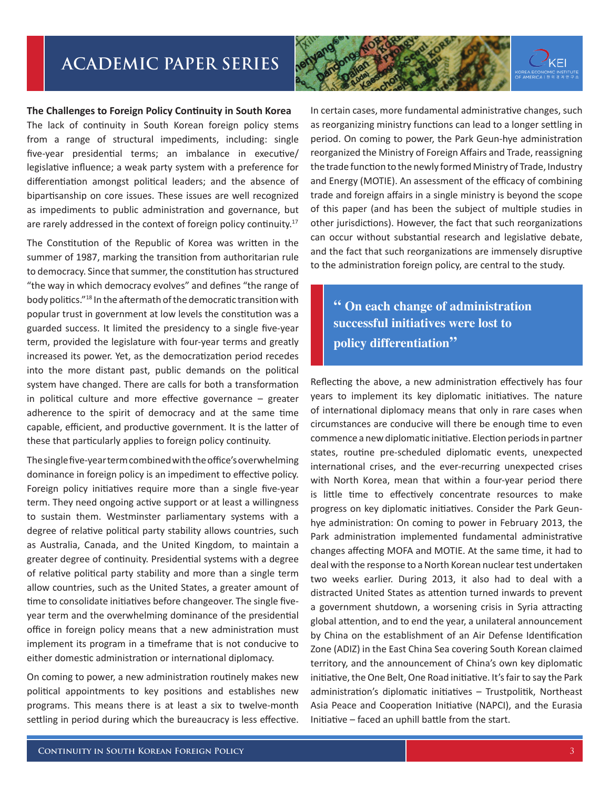### **The Challenges to Foreign Policy Continuity in South Korea**

The lack of continuity in South Korean foreign policy stems from a range of structural impediments, including: single five-year presidential terms; an imbalance in executive/ legislative influence; a weak party system with a preference for differentiation amongst political leaders; and the absence of bipartisanship on core issues. These issues are well recognized as impediments to public administration and governance, but are rarely addressed in the context of foreign policy continuity.<sup>17</sup>

The Constitution of the Republic of Korea was written in the summer of 1987, marking the transition from authoritarian rule to democracy. Since that summer, the constitution has structured "the way in which democracy evolves" and defines "the range of body politics."18 In the aftermath of the democratic transition with popular trust in government at low levels the constitution was a guarded success. It limited the presidency to a single five-year term, provided the legislature with four-year terms and greatly increased its power. Yet, as the democratization period recedes into the more distant past, public demands on the political system have changed. There are calls for both a transformation in political culture and more effective governance  $-$  greater adherence to the spirit of democracy and at the same time capable, efficient, and productive government. It is the latter of these that particularly applies to foreign policy continuity.

The single five-year term combined with the office's overwhelming dominance in foreign policy is an impediment to effective policy. Foreign policy initiatives require more than a single five-year term. They need ongoing active support or at least a willingness to sustain them. Westminster parliamentary systems with a degree of relative political party stability allows countries, such as Australia, Canada, and the United Kingdom, to maintain a greater degree of continuity. Presidential systems with a degree of relative political party stability and more than a single term allow countries, such as the United States, a greater amount of time to consolidate initiatives before changeover. The single fiveyear term and the overwhelming dominance of the presidential office in foreign policy means that a new administration must implement its program in a timeframe that is not conducive to either domestic administration or international diplomacy.

On coming to power, a new administration routinely makes new political appointments to key positions and establishes new programs. This means there is at least a six to twelve-month settling in period during which the bureaucracy is less effective.



**" On each change of administration successful initiatives were lost to policy differentiation"**

Reflecting the above, a new administration effectively has four years to implement its key diplomatic initiatives. The nature of international diplomacy means that only in rare cases when circumstances are conducive will there be enough time to even commence a new diplomatic initiative. Election periods in partner states, routine pre-scheduled diplomatic events, unexpected international crises, and the ever-recurring unexpected crises with North Korea, mean that within a four-year period there is little time to effectively concentrate resources to make progress on key diplomatic initiatives. Consider the Park Geunhye administration: On coming to power in February 2013, the Park administration implemented fundamental administrative changes affecting MOFA and MOTIE. At the same time, it had to deal with the response to a North Korean nuclear test undertaken two weeks earlier. During 2013, it also had to deal with a distracted United States as attention turned inwards to prevent a government shutdown, a worsening crisis in Syria attracting global attention, and to end the year, a unilateral announcement by China on the establishment of an Air Defense Identification Zone (ADIZ) in the East China Sea covering South Korean claimed territory, and the announcement of China's own key diplomatic initiative, the One Belt, One Road initiative. It's fair to say the Park administration's diplomatic initiatives – Trustpolitik, Northeast Asia Peace and Cooperation Initiative (NAPCI), and the Eurasia Initiative – faced an uphill battle from the start.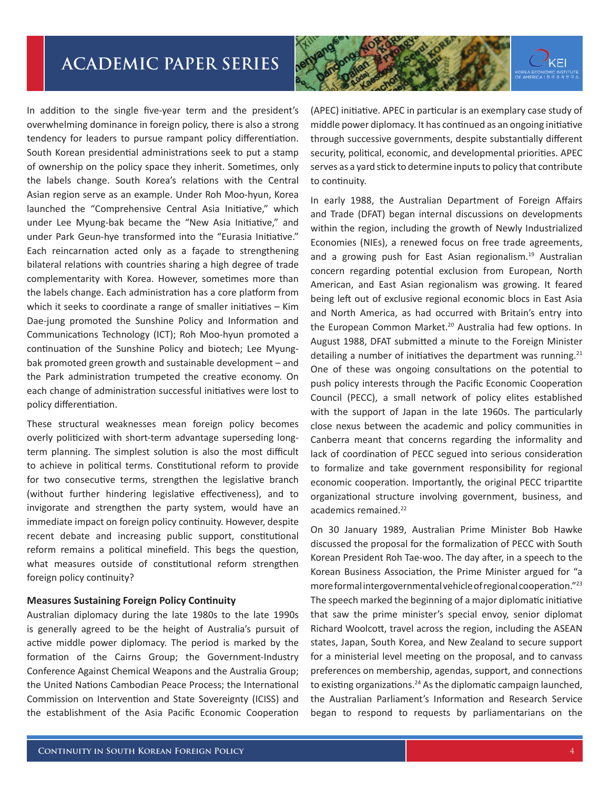

In addition to the single five-year term and the president's overwhelming dominance in foreign policy, there is also a strong tendency for leaders to pursue rampant policy differentiation. South Korean presidential administrations seek to put a stamp of ownership on the policy space they inherit. Sometimes, only the labels change. South Korea's relations with the Central Asian region serve as an example. Under Roh Moo-hyun, Korea launched the "Comprehensive Central Asia Initiative," which under Lee Myung-bak became the "New Asia Initiative," and under Park Geun-hye transformed into the "Eurasia Initiative." Each reincarnation acted only as a façade to strengthening bilateral relations with countries sharing a high degree of trade complementarity with Korea. However, sometimes more than the labels change. Each administration has a core platform from which it seeks to coordinate a range of smaller initiatives – Kim Dae-jung promoted the Sunshine Policy and Information and Communications Technology (ICT); Roh Moo-hyun promoted a continuation of the Sunshine Policy and biotech; Lee Myungbak promoted green growth and sustainable development – and the Park administration trumpeted the creative economy. On each change of administration successful initiatives were lost to policy differentiation.

These structural weaknesses mean foreign policy becomes overly politicized with short-term advantage superseding longterm planning. The simplest solution is also the most difficult to achieve in political terms. Constitutional reform to provide for two consecutive terms, strengthen the legislative branch (without further hindering legislative effectiveness), and to invigorate and strengthen the party system, would have an immediate impact on foreign policy continuity. However, despite recent debate and increasing public support, constitutional reform remains a political minefield. This begs the question, what measures outside of constitutional reform strengthen foreign policy continuity?

#### **Measures Sustaining Foreign Policy Continuity**

Australian diplomacy during the late 1980s to the late 1990s is generally agreed to be the height of Australia's pursuit of active middle power diplomacy. The period is marked by the formation of the Cairns Group; the Government-Industry Conference Against Chemical Weapons and the Australia Group; the United Nations Cambodian Peace Process; the International Commission on Intervention and State Sovereignty (ICISS) and the establishment of the Asia Pacific Economic Cooperation

(APEC) initiative. APEC in particular is an exemplary case study of middle power diplomacy. It has continued as an ongoing initiative through successive governments, despite substantially different security, political, economic, and developmental priorities. APEC serves as a yard stick to determine inputs to policy that contribute to continuity.

In early 1988, the Australian Department of Foreign Affairs and Trade (DFAT) began internal discussions on developments within the region, including the growth of Newly Industrialized Economies (NIEs), a renewed focus on free trade agreements, and a growing push for East Asian regionalism.<sup>19</sup> Australian concern regarding potential exclusion from European, North American, and East Asian regionalism was growing. It feared being left out of exclusive regional economic blocs in East Asia and North America, as had occurred with Britain's entry into the European Common Market.<sup>20</sup> Australia had few options. In August 1988, DFAT submitted a minute to the Foreign Minister detailing a number of initiatives the department was running. $21$ One of these was ongoing consultations on the potential to push policy interests through the Pacific Economic Cooperation Council (PECC), a small network of policy elites established with the support of Japan in the late 1960s. The particularly close nexus between the academic and policy communities in Canberra meant that concerns regarding the informality and lack of coordination of PECC segued into serious consideration to formalize and take government responsibility for regional economic cooperation. Importantly, the original PECC tripartite organizational structure involving government, business, and academics remained.<sup>22</sup>

On 30 January 1989, Australian Prime Minister Bob Hawke discussed the proposal for the formalization of PECC with South Korean President Roh Tae-woo. The day after, in a speech to the Korean Business Association, the Prime Minister argued for "a more formal intergovernmental vehicle of regional cooperation."23 The speech marked the beginning of a major diplomatic initiative that saw the prime minister's special envoy, senior diplomat Richard Woolcott, travel across the region, including the ASEAN states, Japan, South Korea, and New Zealand to secure support for a ministerial level meeting on the proposal, and to canvass preferences on membership, agendas, support, and connections to existing organizations.<sup>24</sup> As the diplomatic campaign launched, the Australian Parliament's Information and Research Service began to respond to requests by parliamentarians on the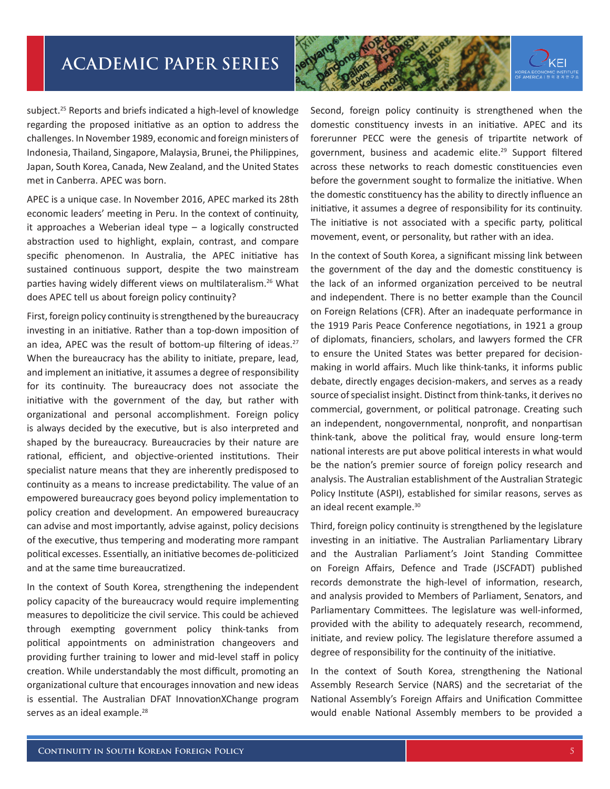

subject.25 Reports and briefs indicated a high-level of knowledge regarding the proposed initiative as an option to address the challenges. In November 1989, economic and foreign ministers of Indonesia, Thailand, Singapore, Malaysia, Brunei, the Philippines, Japan, South Korea, Canada, New Zealand, and the United States met in Canberra. APEC was born.

APEC is a unique case. In November 2016, APEC marked its 28th economic leaders' meeting in Peru. In the context of continuity, it approaches a Weberian ideal type – a logically constructed abstraction used to highlight, explain, contrast, and compare specific phenomenon. In Australia, the APEC initiative has sustained continuous support, despite the two mainstream parties having widely different views on multilateralism.<sup>26</sup> What does APEC tell us about foreign policy continuity?

First, foreign policy continuity is strengthened by the bureaucracy investing in an initiative. Rather than a top-down imposition of an idea, APEC was the result of bottom-up filtering of ideas.<sup>27</sup> When the bureaucracy has the ability to initiate, prepare, lead, and implement an initiative, it assumes a degree of responsibility for its continuity. The bureaucracy does not associate the initiative with the government of the day, but rather with organizational and personal accomplishment. Foreign policy is always decided by the executive, but is also interpreted and shaped by the bureaucracy. Bureaucracies by their nature are rational, efficient, and objective-oriented institutions. Their specialist nature means that they are inherently predisposed to continuity as a means to increase predictability. The value of an empowered bureaucracy goes beyond policy implementation to policy creation and development. An empowered bureaucracy can advise and most importantly, advise against, policy decisions of the executive, thus tempering and moderating more rampant political excesses. Essentially, an initiative becomes de-politicized and at the same time bureaucratized.

In the context of South Korea, strengthening the independent policy capacity of the bureaucracy would require implementing measures to depoliticize the civil service. This could be achieved through exempting government policy think-tanks from political appointments on administration changeovers and providing further training to lower and mid-level staff in policy creation. While understandably the most difficult, promoting an organizational culture that encourages innovation and new ideas is essential. The Australian DFAT InnovationXChange program serves as an ideal example.<sup>28</sup>

Second, foreign policy continuity is strengthened when the domestic constituency invests in an initiative. APEC and its forerunner PECC were the genesis of tripartite network of government, business and academic elite.<sup>29</sup> Support filtered across these networks to reach domestic constituencies even before the government sought to formalize the initiative. When the domestic constituency has the ability to directly influence an initiative, it assumes a degree of responsibility for its continuity. The initiative is not associated with a specific party, political movement, event, or personality, but rather with an idea.

In the context of South Korea, a significant missing link between the government of the day and the domestic constituency is the lack of an informed organization perceived to be neutral and independent. There is no better example than the Council on Foreign Relations (CFR). After an inadequate performance in the 1919 Paris Peace Conference negotiations, in 1921 a group of diplomats, financiers, scholars, and lawyers formed the CFR to ensure the United States was better prepared for decisionmaking in world affairs. Much like think-tanks, it informs public debate, directly engages decision-makers, and serves as a ready source of specialist insight. Distinct from think-tanks, it derives no commercial, government, or political patronage. Creating such an independent, nongovernmental, nonprofit, and nonpartisan think-tank, above the political fray, would ensure long-term national interests are put above political interests in what would be the nation's premier source of foreign policy research and analysis. The Australian establishment of the Australian Strategic Policy Institute (ASPI), established for similar reasons, serves as an ideal recent example.<sup>30</sup>

Third, foreign policy continuity is strengthened by the legislature investing in an initiative. The Australian Parliamentary Library and the Australian Parliament's Joint Standing Committee on Foreign Affairs, Defence and Trade (JSCFADT) published records demonstrate the high-level of information, research, and analysis provided to Members of Parliament, Senators, and Parliamentary Committees. The legislature was well-informed, provided with the ability to adequately research, recommend, initiate, and review policy. The legislature therefore assumed a degree of responsibility for the continuity of the initiative.

In the context of South Korea, strengthening the National Assembly Research Service (NARS) and the secretariat of the National Assembly's Foreign Affairs and Unification Committee would enable National Assembly members to be provided a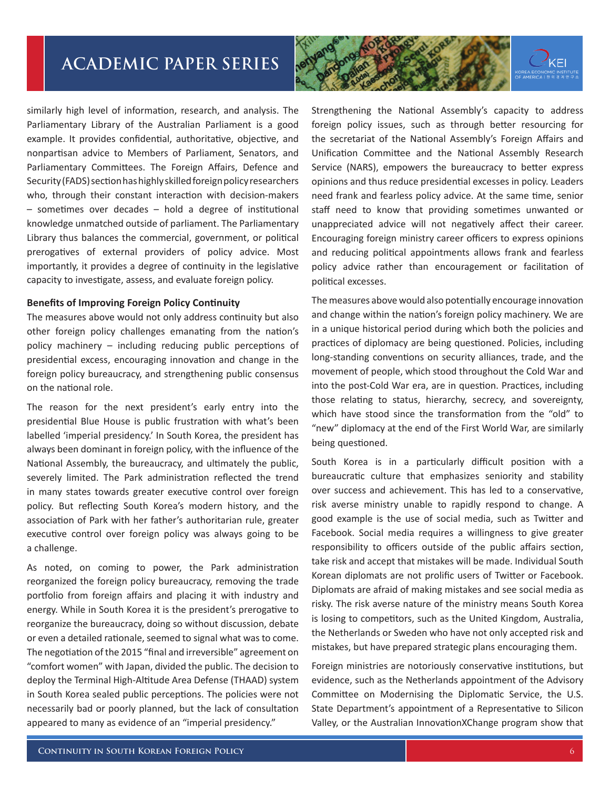

similarly high level of information, research, and analysis. The Parliamentary Library of the Australian Parliament is a good example. It provides confidential, authoritative, objective, and nonpartisan advice to Members of Parliament, Senators, and Parliamentary Committees. The Foreign Affairs, Defence and Security (FADS) section has highly skilled foreign policy researchers who, through their constant interaction with decision-makers – sometimes over decades – hold a degree of institutional knowledge unmatched outside of parliament. The Parliamentary Library thus balances the commercial, government, or political prerogatives of external providers of policy advice. Most importantly, it provides a degree of continuity in the legislative capacity to investigate, assess, and evaluate foreign policy.

#### **Benefits of Improving Foreign Policy Continuity**

The measures above would not only address continuity but also other foreign policy challenges emanating from the nation's policy machinery – including reducing public perceptions of presidential excess, encouraging innovation and change in the foreign policy bureaucracy, and strengthening public consensus on the national role.

The reason for the next president's early entry into the presidential Blue House is public frustration with what's been labelled 'imperial presidency.' In South Korea, the president has always been dominant in foreign policy, with the influence of the National Assembly, the bureaucracy, and ultimately the public, severely limited. The Park administration reflected the trend in many states towards greater executive control over foreign policy. But reflecting South Korea's modern history, and the association of Park with her father's authoritarian rule, greater executive control over foreign policy was always going to be a challenge.

As noted, on coming to power, the Park administration reorganized the foreign policy bureaucracy, removing the trade portfolio from foreign affairs and placing it with industry and energy. While in South Korea it is the president's prerogative to reorganize the bureaucracy, doing so without discussion, debate or even a detailed rationale, seemed to signal what was to come. The negotiation of the 2015 "final and irreversible" agreement on "comfort women" with Japan, divided the public. The decision to deploy the Terminal High-Altitude Area Defense (THAAD) system in South Korea sealed public perceptions. The policies were not necessarily bad or poorly planned, but the lack of consultation appeared to many as evidence of an "imperial presidency."

Strengthening the National Assembly's capacity to address foreign policy issues, such as through better resourcing for the secretariat of the National Assembly's Foreign Affairs and Unification Committee and the National Assembly Research Service (NARS), empowers the bureaucracy to better express opinions and thus reduce presidential excesses in policy. Leaders need frank and fearless policy advice. At the same time, senior staff need to know that providing sometimes unwanted or unappreciated advice will not negatively affect their career. Encouraging foreign ministry career officers to express opinions and reducing political appointments allows frank and fearless policy advice rather than encouragement or facilitation of political excesses.

The measures above would also potentially encourage innovation and change within the nation's foreign policy machinery. We are in a unique historical period during which both the policies and practices of diplomacy are being questioned. Policies, including long-standing conventions on security alliances, trade, and the movement of people, which stood throughout the Cold War and into the post-Cold War era, are in question. Practices, including those relating to status, hierarchy, secrecy, and sovereignty, which have stood since the transformation from the "old" to "new" diplomacy at the end of the First World War, are similarly being questioned.

South Korea is in a particularly difficult position with a bureaucratic culture that emphasizes seniority and stability over success and achievement. This has led to a conservative, risk averse ministry unable to rapidly respond to change. A good example is the use of social media, such as Twitter and Facebook. Social media requires a willingness to give greater responsibility to officers outside of the public affairs section, take risk and accept that mistakes will be made. Individual South Korean diplomats are not prolific users of Twitter or Facebook. Diplomats are afraid of making mistakes and see social media as risky. The risk averse nature of the ministry means South Korea is losing to competitors, such as the United Kingdom, Australia, the Netherlands or Sweden who have not only accepted risk and mistakes, but have prepared strategic plans encouraging them.

Foreign ministries are notoriously conservative institutions, but evidence, such as the Netherlands appointment of the Advisory Committee on Modernising the Diplomatic Service, the U.S. State Department's appointment of a Representative to Silicon Valley, or the Australian InnovationXChange program show that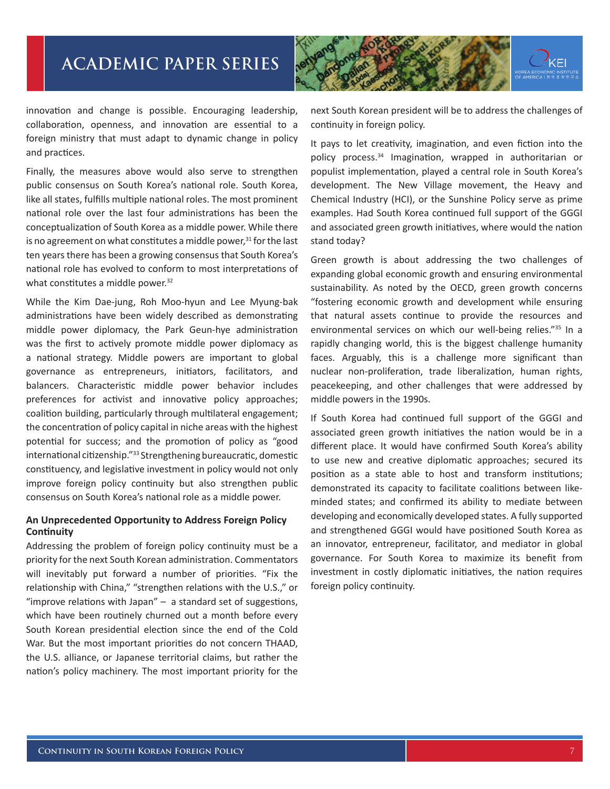

innovation and change is possible. Encouraging leadership, collaboration, openness, and innovation are essential to a foreign ministry that must adapt to dynamic change in policy and practices.

Finally, the measures above would also serve to strengthen public consensus on South Korea's national role. South Korea, like all states, fulfills multiple national roles. The most prominent national role over the last four administrations has been the conceptualization of South Korea as a middle power. While there is no agreement on what constitutes a middle power, $31$  for the last ten years there has been a growing consensus that South Korea's national role has evolved to conform to most interpretations of what constitutes a middle power.<sup>32</sup>

While the Kim Dae-jung, Roh Moo-hyun and Lee Myung-bak administrations have been widely described as demonstrating middle power diplomacy, the Park Geun-hye administration was the first to actively promote middle power diplomacy as a national strategy. Middle powers are important to global governance as entrepreneurs, initiators, facilitators, and balancers. Characteristic middle power behavior includes preferences for activist and innovative policy approaches; coalition building, particularly through multilateral engagement; the concentration of policy capital in niche areas with the highest potential for success; and the promotion of policy as "good international citizenship."33 Strengthening bureaucratic, domestic constituency, and legislative investment in policy would not only improve foreign policy continuity but also strengthen public consensus on South Korea's national role as a middle power.

### **An Unprecedented Opportunity to Address Foreign Policy Continuity**

Addressing the problem of foreign policy continuity must be a priority for the next South Korean administration. Commentators will inevitably put forward a number of priorities. "Fix the relationship with China," "strengthen relations with the U.S.," or "improve relations with Japan" – a standard set of suggestions, which have been routinely churned out a month before every South Korean presidential election since the end of the Cold War. But the most important priorities do not concern THAAD, the U.S. alliance, or Japanese territorial claims, but rather the nation's policy machinery. The most important priority for the

next South Korean president will be to address the challenges of continuity in foreign policy.

It pays to let creativity, imagination, and even fiction into the policy process.34 Imagination, wrapped in authoritarian or populist implementation, played a central role in South Korea's development. The New Village movement, the Heavy and Chemical Industry (HCI), or the Sunshine Policy serve as prime examples. Had South Korea continued full support of the GGGI and associated green growth initiatives, where would the nation stand today?

Green growth is about addressing the two challenges of expanding global economic growth and ensuring environmental sustainability. As noted by the OECD, green growth concerns "fostering economic growth and development while ensuring that natural assets continue to provide the resources and environmental services on which our well-being relies."35 In a rapidly changing world, this is the biggest challenge humanity faces. Arguably, this is a challenge more significant than nuclear non-proliferation, trade liberalization, human rights, peacekeeping, and other challenges that were addressed by middle powers in the 1990s.

If South Korea had continued full support of the GGGI and associated green growth initiatives the nation would be in a different place. It would have confirmed South Korea's ability to use new and creative diplomatic approaches; secured its position as a state able to host and transform institutions; demonstrated its capacity to facilitate coalitions between likeminded states; and confirmed its ability to mediate between developing and economically developed states. A fully supported and strengthened GGGI would have positioned South Korea as an innovator, entrepreneur, facilitator, and mediator in global governance. For South Korea to maximize its benefit from investment in costly diplomatic initiatives, the nation requires foreign policy continuity.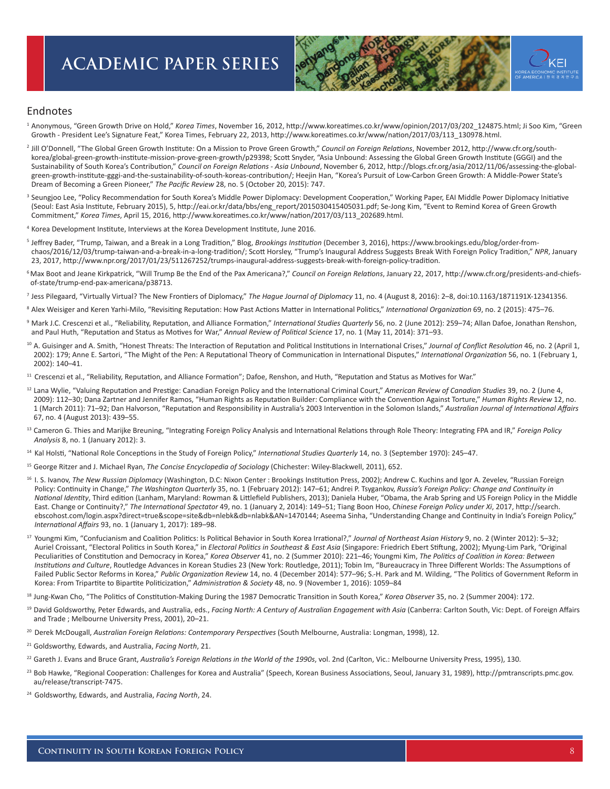

#### Endnotes

1 Anonymous, "Green Growth Drive on Hold," *Korea Times*, November 16, 2012, http://www.koreatimes.co.kr/www/opinion/2017/03/202\_124875.html; Ji Soo Kim, "Green Growth - President Lee's Signature Feat," Korea Times, February 22, 2013, http://www.koreatimes.co.kr/www/nation/2017/03/113\_130978.html.

- 2 Jill O'Donnell, "The Global Green Growth Institute: On a Mission to Prove Green Growth," *Council on Foreign Relations*, November 2012, http://www.cfr.org/southkorea/global-green-growth-institute-mission-prove-green-growth/p29398; Scott Snyder, "Asia Unbound: Assessing the Global Green Growth Institute (GGGI) and the Sustainability of South Korea's Contribution," *Council on Foreign Relations - Asia Unbound*, November 6, 2012, http://blogs.cfr.org/asia/2012/11/06/assessing-the-globalgreen-growth-institute-gggi-and-the-sustainability-of-south-koreas-contribution/; Heejin Han, "Korea's Pursuit of Low-Carbon Green Growth: A Middle-Power State's Dream of Becoming a Green Pioneer," *The Pacific Review* 28, no. 5 (October 20, 2015): 747.
- <sup>3</sup> Seungjoo Lee, "Policy Recommendation for South Korea's Middle Power Diplomacy: Development Cooperation," Working Paper, EAI Middle Power Diplomacy Initiative (Seoul: East Asia Institute, February 2015), 5, http://eai.or.kr/data/bbs/eng\_report/2015030415405031.pdf; Se-Jong Kim, "Event to Remind Korea of Green Growth Commitment," *Korea Times*, April 15, 2016, http://www.koreatimes.co.kr/www/nation/2017/03/113\_202689.html.
- 4 Korea Development Institute, Interviews at the Korea Development Institute, June 2016.
- 5 Jeffrey Bader, "Trump, Taiwan, and a Break in a Long Tradition," Blog, *Brookings Institution* (December 3, 2016), https://www.brookings.edu/blog/order-fromchaos/2016/12/03/trump-taiwan-and-a-break-in-a-long-tradition/; Scott Horsley, "Trump's Inaugural Address Suggests Break With Foreign Policy Tradition," *NPR*, January 23, 2017, http://www.npr.org/2017/01/23/511267252/trumps-inaugural-address-suggests-break-with-foreign-policy-tradition.
- 6 Max Boot and Jeane Kirkpatrick, "Will Trump Be the End of the Pax Americana?," *Council on Foreign Relations*, January 22, 2017, http://www.cfr.org/presidents-and-chiefs of-state/trump-end-pax-americana/p38713.
- 7 Jess Pilegaard, "Virtually Virtual? The New Frontiers of Diplomacy," *The Hague Journal of Diplomacy* 11, no. 4 (August 8, 2016): 2–8, doi:10.1163/1871191X-12341356.
- <sup>8</sup>Alex Weisiger and Keren Yarhi-Milo, "Revisiting Reputation: How Past Actions Matter in International Politics," *International Organization* 69, no. 2 (2015): 475–76.
- <sup>9</sup> Mark J.C. Crescenzi et al., "Reliability, Reputation, and Alliance Formation," International Studies Quarterly 56, no. 2 (June 2012): 259-74; Allan Dafoe, Jonathan Renshon, and Paul Huth, "Reputation and Status as Motives for War," *Annual Review of Political Science* 17, no. 1 (May 11, 2014): 371–93.
- <sup>10</sup> A. Guisinger and A. Smith, "Honest Threats: The Interaction of Reputation and Political Institutions in International Crises," Journal of Conflict Resolution 46, no. 2 (April 1, 2002): 179; Anne E. Sartori, "The Might of the Pen: A Reputational Theory of Communication in International Disputes," *International Organization* 56, no. 1 (February 1, 2002): 140–41.
- <sup>11</sup> Crescenzi et al., "Reliability, Reputation, and Alliance Formation"; Dafoe, Renshon, and Huth, "Reputation and Status as Motives for War."
- <sup>12</sup> Lana Wylie, "Valuing Reputation and Prestige: Canadian Foreign Policy and the International Criminal Court," American Review of Canadian Studies 39, no. 2 (June 4, 2009): 112–30; Dana Zartner and Jennifer Ramos, "Human Rights as Reputation Builder: Compliance with the Convention Against Torture," *Human Rights Review* 12, no. 1 (March 2011): 71–92; Dan Halvorson, "Reputation and Responsibility in Australia's 2003 Intervention in the Solomon Islands," *Australian Journal of International Affairs*  67, no. 4 (August 2013): 439–55.
- 13 Cameron G. Thies and Marijke Breuning, "Integrating Foreign Policy Analysis and International Relations through Role Theory: Integrating FPA and IR," *Foreign Policy Analysis* 8, no. 1 (January 2012): 3.
- 14 Kal Holsti, "National Role Conceptions in the Study of Foreign Policy," *International Studies Quarterly* 14, no. 3 (September 1970): 245–47.
- 15 George Ritzer and J. Michael Ryan, *The Concise Encyclopedia of Sociology* (Chichester: Wiley-Blackwell, 2011), 652.
- <sup>16</sup> I. S. Ivanov, The New Russian Diplomacy (Washington, D.C: Nixon Center : Brookings Institution Press, 2002); Andrew C. Kuchins and Igor A. Zevelev, "Russian Foreign Policy: Continuity in Change," *The Washington Quarterly* 35, no. 1 (February 2012): 147–61; Andrei P. Tsygankov, *Russia's Foreign Policy: Change and Continuity in National Identity*, Third edition (Lanham, Maryland: Rowman & Littlefield Publishers, 2013); Daniela Huber, "Obama, the Arab Spring and US Foreign Policy in the Middle East. Change or Continuity?," *The International Spectator* 49, no. 1 (January 2, 2014): 149–51; Tiang Boon Hoo, *Chinese Foreign Policy under Xi*, 2017, http://search. ebscohost.com/login.aspx?direct=true&scope=site&db=nlebk&db=nlabk&AN=1470144; Aseema Sinha, "Understanding Change and Continuity in India's Foreign Policy," *International Affairs* 93, no. 1 (January 1, 2017): 189–98.
- 17 Youngmi Kim, "Confucianism and Coalition Politics: Is Political Behavior in South Korea Irrational?," *Journal of Northeast Asian History* 9, no. 2 (Winter 2012): 5–32; Auriel Croissant, "Electoral Politics in South Korea," in *Electoral Politics in Southeast & East Asia* (Singapore: Friedrich Ebert Stiftung, 2002); Myung-Lim Park, "Original Peculiarities of Constitution and Democracy in Korea," *Korea Observer* 41, no. 2 (Summer 2010): 221–46; Youngmi Kim, *The Politics of Coalition in Korea: Between Institutions and Culture*, Routledge Advances in Korean Studies 23 (New York: Routledge, 2011); Tobin Im, "Bureaucracy in Three Different Worlds: The Assumptions of Failed Public Sector Reforms in Korea," *Public Organization Review* 14, no. 4 (December 2014): 577–96; S.-H. Park and M. Wilding, "The Politics of Government Reform in Korea: From Tripartite to Bipartite Politicization," *Administration & Society* 48, no. 9 (November 1, 2016): 1059–84

<sup>18</sup> Jung-Kwan Cho, "The Politics of Constitution-Making During the 1987 Democratic Transition in South Korea," Korea Observer 35, no. 2 (Summer 2004): 172.

- <sup>19</sup> David Goldsworthy, Peter Edwards, and Australia, eds., *Facing North: A Century of Australian Engagement with Asia* (Canberra: Carlton South, Vic: Dept. of Foreign Affairs and Trade ; Melbourne University Press, 2001), 20–21.
- <sup>20</sup> Derek McDougall, Australian Foreign Relations: Contemporary Perspectives (South Melbourne, Australia: Longman, 1998), 12.
- 21 Goldsworthy, Edwards, and Australia, *Facing North*, 21.
- <sup>22</sup> Gareth J. Evans and Bruce Grant, Australia's Foreign Relations in the World of the 1990s, vol. 2nd (Carlton, Vic.: Melbourne University Press, 1995), 130.
- <sup>23</sup> Bob Hawke, "Regional Cooperation: Challenges for Korea and Australia" (Speech, Korean Business Associations, Seoul, January 31, 1989), http://pmtranscripts.pmc.gov. au/release/transcript-7475.
- 24 Goldsworthy, Edwards, and Australia, *Facing North*, 24.